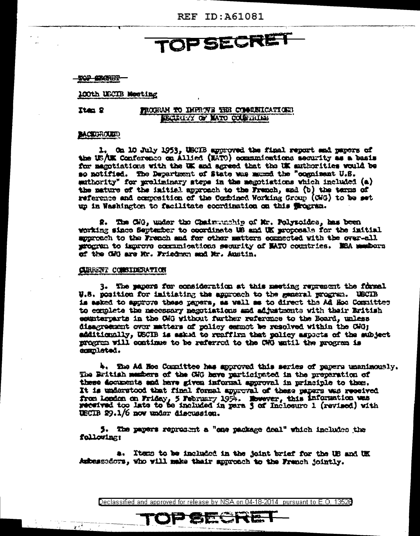**REF ID: A61081** 

**TOPSECRET** 

校先 我说出

100th USCIB Moeting

Ites 2

## PROGRAM TO IMPROVE THE COMMUNICATIONS **UNGERITY OF MATO COLUMNIAL**

### **BACKUROUND**

1. On 10 July 1953, USCIB approved the final report and papers of the US/UK Conference on Allied (NATO) communications security as a basis for membiations with the UK and agreed that the UK authorities would be so notified. The Department of State was mannd the "oognisant U.S. suthority" for preliminary steps in the megotiations which included (a) the mature of the initial approach to the Franch, and (b) the tarms of reference and ecuposition of the Combined Working Group (CWG) to be set up in Washington to facilitate econdination on this frogram.

2. The CHO, under the Chairman hip of Mr. Polyzoides, has been working since September to coordinate US and UK proposals for the initial approach to the French and for other matters equacoted with the over-all program to improve communications security of NATO countries. NEA members of the CMG are Mr. Friedman and Mr. Austin.

#### CURRENT CONSTIERATION

 $\sqrt{t}$ 

3. The papers for consideration at this meeting represent the formal W.S. position for imitiating the approach to the general program. USCIB is asked to approve these papers, as well as to direct the Ad Hoo Committer to complete the mecessary negotiations and adjustments with their Eritish counterparts in the CMG without further reference to the Board, unless disagreement over matters of policy essmot be resolved within the CWG; additionally, USCIB is asked to reaffirm that policy aspects of the subject program will continue to be referred to the CWO watil the program is ammlated.

4. The Ad Noc Committee has approved this series of papers unanimously. The British members of the GHG heve participated in the preparation of these documents and have given informal approval in principle to them. It is understood that final formal approval of these papers was received from London on Friday, 5 February 1954. Mowever, this information was received too late to be included in para 3 of Inclosure 1 (revised) with USCIB 29.1/6 now under discussion.

5. The payers represent a "one package deal" which includes the following:

a. Items to be included in the joint brief for the US and UK Ambessedors, who will make thair spproach to the Franch jointly.

Declassified and approved for release by NSA on 04-18-2014 pursuant to E.O. 13528

OP SECRET